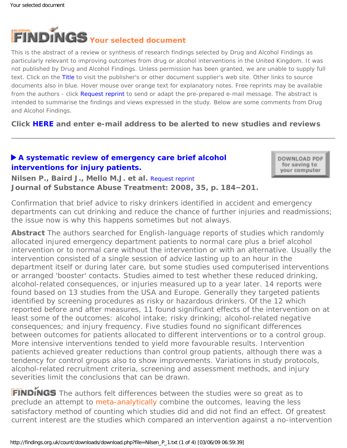<span id="page-0-0"></span>

This is the abstract of a review or synthesis of research findings selected by Drug and Alcohol Findings as particularly relevant to improving outcomes from drug or alcohol interventions in the United Kingdom. It was not published by Drug and Alcohol Findings. Unless permission has been granted, we are unable to supply full text. Click on the Title to visit the publisher's or other document supplier's web site. Other links to source documents also in blue. Hover mouse over orange text for explanatory notes. Free reprints may be available from the authors - click Request reprint to send or adapt the pre-prepared e-mail message. The abstract is intended to summarise the findings and views expressed in the study. Below are some comments from Drug and Alcohol Findings.

**Click [HERE](https://findings.org.uk/index.php#signUp) and enter e-mail address to be alerted to new studies and reviews**

## **[A systematic review of emergency care brief alcohol](http://dx.doi.org/10.1016/j.jsat.2007.09.008)  [interventions for injury patients.](http://dx.doi.org/10.1016/j.jsat.2007.09.008)**

DOWNLOAD PDF for saving to your computer

**Nilsen P., Baird J., Mello M.J. et al.** [Request reprint](mailto:per.nilsen@ihs.liu.se?Subject=Reprint%20request&body=Dear Dr Nilsen%0A%0AOn the Drug and Alcohol Findings web site (https://findings.org.uk) I read about your article:%0ANilsen P., Baird J., Mello M.J. et al. A systematic review of emergency care brief alcohol interventions for injury patients. Journal of Substance Abuse Treatment: 2008, 35, p. 184-201.%0A%0AWould it be possible to for me to be sent a PDF reprint or the manuscript by return e-mail?%0A) **Journal of Substance Abuse Treatment: 2008, 35, p. 184–201.**

Confirmation that brief advice to risky drinkers identified in accident and emergency departments can cut drinking and reduce the chance of further injuries and readmissions; the issue now is why this happens sometimes but not always.

**Abstract** The authors searched for English-language reports of studies which randomly allocated injured emergency department patients to normal care plus a brief alcohol intervention or to normal care without the intervention or with an alternative. Usually the intervention consisted of a single session of advice lasting up to an hour in the department itself or during later care, but some studies used computerised interventions or arranged 'booster' contacts. Studies aimed to test whether these reduced drinking, alcohol-related consequences, or injuries measured up to a year later. 14 reports were found based on 13 studies from the USA and Europe. Generally they targeted patients identified by screening procedures as risky or hazardous drinkers. Of the 12 which reported before and after measures, 11 found significant effects of the intervention on at least some of the outcomes: alcohol intake; risky drinking; alcohol-related negative consequences; and injury frequency. Five studies found no significant differences between outcomes for patients allocated to different interventions or to a control group. More intensive interventions tended to yield more favourable results. Intervention patients achieved greater reductions than control group patients, although there was a tendency for control groups also to show improvements. Variations in study protocols, alcohol-related recruitment criteria, screening and assessment methods, and injury severities limit the conclusions that can be drawn.

FINDINGS The authors felt differences between the studies were so great as to preclude an attempt to [meta-analytically](#page-0-0) combine the outcomes, leaving the less satisfactory method of counting which studies did and did not find an effect. Of greatest current interest are the studies which compared an intervention against a no-intervention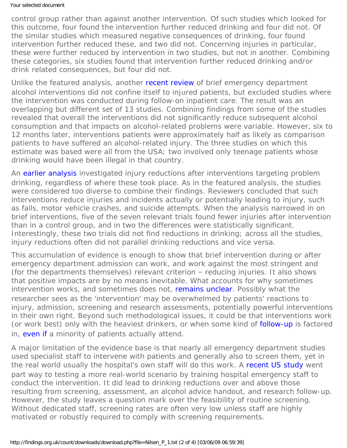## Your selected document

control group rather than against another intervention. Of such studies which looked for this outcome, four found the intervention further reduced drinking and four did not. Of the similar studies which measured negative consequences of drinking, four found intervention further reduced these, and two did not. Concerning injuries in particular, these were further reduced by intervention in two studies, but not in another. Combining these categories, six studies found that intervention further reduced drinking and/or drink related consequences, but four did not.

Unlike the featured analysis, another [recent review](https://findings.org.uk/count/downloads/download.php?file=Havard_A_2.txt) of brief emergency department alcohol interventions did not confine itself to injured patients, but excluded studies where the intervention was conducted during follow-on inpatient care. The result was an overlapping but different set of 13 studies. Combining findings from some of the studies revealed that overall the interventions did not significantly reduce subsequent alcohol consumption and that impacts on alcohol-related problems were variable. However, six to 12 months later, interventions patients were approximately half as likely as comparison patients to have suffered an alcohol-related injury. The three studies on which this estimate was based were all from the USA; two involved only teenage patients whose drinking would have been illegal in that country.

An [earlier analysis](http://dx.doi.org/10.1002/14651858.CD001857) investigated injury reductions after interventions targeting problem drinking, regardless of where these took place. As in the featured analysis, the studies were considered too diverse to combine their findings. Reviewers concluded that such interventions reduce injuries and incidents actually or potentially leading to injury, such as falls, motor vehicle crashes, and suicide attempts. When the analysis narrowed in on brief interventions, five of the seven relevant trials found fewer injuries after intervention than in a control group, and in two the differences were statistically significant. Interestingly, these two trials did not find reductions in drinking; across all the studies, injury reductions often did not parallel drinking reductions and vice versa.

This accumulation of evidence is enough to show that brief intervention during or after emergency department admission *can* work, and work against the most stringent and (for the departments themselves) relevant criterion – reducing injuries. It also shows that positive impacts are by no means inevitable. What accounts for why sometimes intervention works, and sometimes does not, [remains unclear](http://dx.doi.org/10.1016/j.annemergmed.2008.01.325). Possibly what the researcher sees as the 'intervention' may be overwhelmed by patients' reactions to injury, admission, screening and research assessments, potentially powerful interventions in their own right. Beyond such methodological issues, it could be that interventions work (or work best) only with the heaviest drinkers, or when some kind of [follow-up](https://findings.org.uk/count/downloads/download.php?file=nug_8_3.pdf) is factored in, [even if](https://findings.org.uk/count/downloads/download.php?file=nug_12_6.pdf) a minority of patients actually attend.

A major limitation of the evidence base is that nearly all emergency department studies used specialist staff to intervene with patients and generally also to screen them, yet in the real world usually the hospital's own staff will do this work. A [recent US study](https://findings.org.uk/count/downloads/download.php?file=ED_SBIRT_1.txt) went part way to testing a more real-world scenario by training hospital emergency staff to conduct the intervention. It did lead to drinking reductions over and above those resulting from screening, assessment, an alcohol advice handout, and research follow-up. However, the study leaves a question mark over the feasibility of routine screening. Without dedicated staff, screening rates are often very low unless staff are highly motivated or robustly required to comply with screening requirements.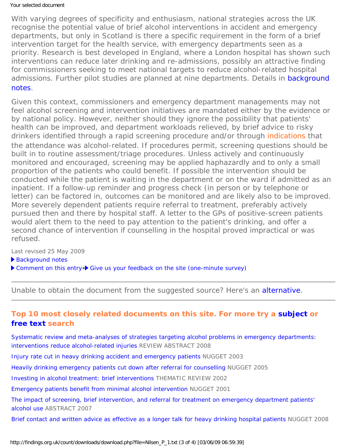## Your selected document

With varying degrees of specificity and enthusiasm, national strategies across the UK recognise the potential value of brief alcohol interventions in accident and emergency departments, but only in Scotland is there a specific requirement in the form of a brief intervention target for the health service, with emergency departments seen as a priority. Research is best developed in England, where a London hospital has shown such interventions can reduce later drinking and re-admissions, possibly an attractive finding for commissioners seeking to meet national targets to reduce alcohol-related hospital admissions. Further pilot studies are planned at nine departments. Details in [background](https://findings.org.uk/count/downloads/download.php?file=Nilsen_P_1_back.htm) [notes](https://findings.org.uk/count/downloads/download.php?file=Nilsen_P_1_back.htm).

Given this context, commissioners and emergency department managements may not feel alcohol screening and intervention initiatives are mandated either by the evidence or by national policy. However, neither should they ignore the possibility that patients' health can be improved, and department workloads relieved, by brief advice to risky drinkers identified through a rapid screening procedure and/or through [indications](#page-0-0) that the attendance was alcohol-related. If procedures permit, screening questions should be built in to routine assessment/triage procedures. Unless actively and continuously monitored and encouraged, screening may be applied haphazardly and to only a small proportion of the patients who could benefit. If possible the intervention should be conducted while the patient is waiting in the department or on the ward if admitted as an inpatient. If a follow-up reminder and progress check (in person or by telephone or letter) can be factored in, outcomes can be monitored and are likely also to be improved. More severely dependent patients require referral to treatment, preferably actively pursued then and there by hospital staff. A letter to the GPs of positive-screen patients would alert them to the need to pay attention to the patient's drinking, and offer a second chance of intervention if counselling in the hospital proved impractical or was refused.

Last revised 25 May 2009

▶ [Background notes](https://findings.org.uk/count/downloads/download.php?file=Nilsen_P_1_back.htm)

▶ [Comment on this entry](mailto:editor@findings.org.uk?Subject=Findings%20entry:%20A%20systematic%20review%20of%20emergency%20care%20brief%20alcohol%20interventions%20for%20injury%20patients)•▶ [Give us your feedback on the site \(one-minute survey\)](http://www.surveymonkey.com/s.aspx?sm=uLBdmFvYFCjgwOQYnKu_2flA_3d_3d)

Unable to obtain the document from the suggested source? Here's an [alternative](http://www.ncbi.nlm.nih.gov/pubmed/18083321).

## **Top 10 most closely related documents on this site. For more try a [subject](https://findings.org.uk/doc-search.htm) or [free text](https://findings.org.uk/doc-search_free.htm) search**

[Systematic review and meta-analyses of strategies targeting alcohol problems in emergency departments:](https://findings.org.uk/count/downloads/download.php?file=Havard_A_2.txt)  [interventions reduce alcohol-related injuries](https://findings.org.uk/count/downloads/download.php?file=Havard_A_2.txt) REVIEW ABSTRACT 2008

[Injury rate cut in heavy drinking accident and emergency patients](https://findings.org.uk/count/downloads/download.php?file=nug_8_3.pdf) NUGGET 2003

[Heavily drinking emergency patients cut down after referral for counselling](https://findings.org.uk/count/downloads/download.php?file=nug_12_6.pdf) NUGGET 2005

[Investing in alcohol treatment: brief interventions](https://findings.org.uk/count/downloads/download.php?file=Proudfoot_H_4.pdf) THEMATIC REVIEW 2002

[Emergency patients benefit from minimal alcohol intervention](https://findings.org.uk/count/downloads/download.php?file=nug_6_1.pdf) NUGGET 2001

[The impact of screening, brief intervention, and referral for treatment on emergency department patients'](https://findings.org.uk/count/downloads/download.php?file=ED_SBIRT_1.txt)  [alcohol use](https://findings.org.uk/count/downloads/download.php?file=ED_SBIRT_1.txt) ABSTRACT 2007

[Brief contact and written advice as effective as a longer talk for heavy drinking hospital patients](https://findings.org.uk/count/downloads/download.php?file=BI_ward.nug) NUGGET 2008